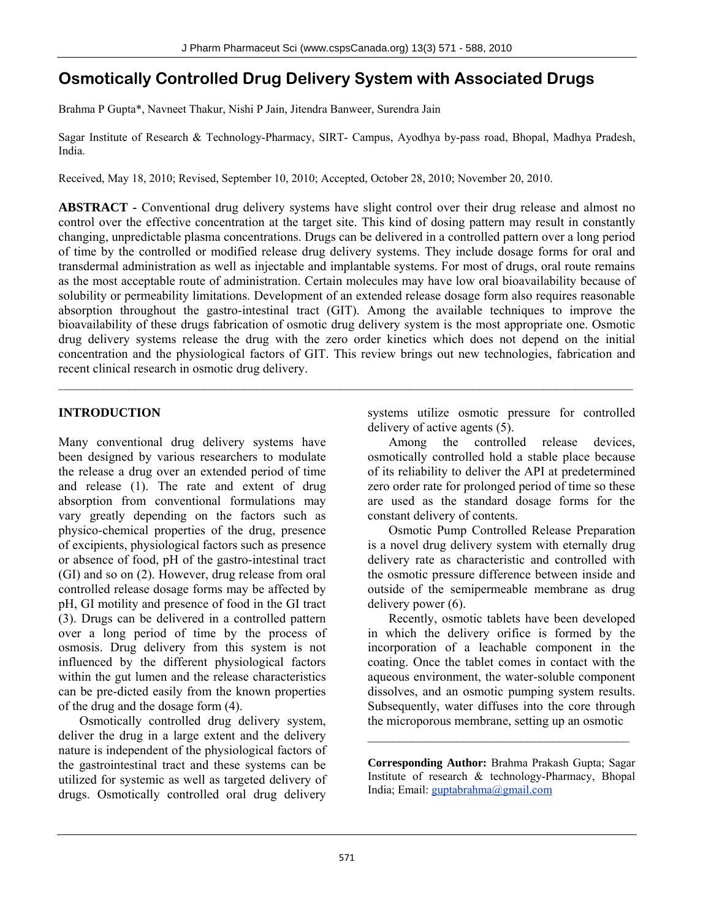# **Osmotically Controlled Drug Delivery System with Associated Drugs**

Brahma P Gupta\*, Navneet Thakur, Nishi P Jain, Jitendra Banweer, Surendra Jain

Sagar Institute of Research & Technology-Pharmacy, SIRT- Campus, Ayodhya by-pass road, Bhopal, Madhya Pradesh, India.

Received, May 18, 2010; Revised, September 10, 2010; Accepted, October 28, 2010; November 20, 2010.

**ABSTRACT -** Conventional drug delivery systems have slight control over their drug release and almost no control over the effective concentration at the target site. This kind of dosing pattern may result in constantly changing, unpredictable plasma concentrations. Drugs can be delivered in a controlled pattern over a long period of time by the controlled or modified release drug delivery systems. They include dosage forms for oral and transdermal administration as well as injectable and implantable systems. For most of drugs, oral route remains as the most acceptable route of administration. Certain molecules may have low oral bioavailability because of solubility or permeability limitations. Development of an extended release dosage form also requires reasonable absorption throughout the gastro-intestinal tract (GIT). Among the available techniques to improve the bioavailability of these drugs fabrication of osmotic drug delivery system is the most appropriate one. Osmotic drug delivery systems release the drug with the zero order kinetics which does not depend on the initial concentration and the physiological factors of GIT. This review brings out new technologies, fabrication and recent clinical research in osmotic drug delivery.

# **INTRODUCTION**

Many conventional drug delivery systems have been designed by various researchers to modulate the release a drug over an extended period of time and release (1). The rate and extent of drug absorption from conventional formulations may vary greatly depending on the factors such as physico-chemical properties of the drug, presence of excipients, physiological factors such as presence or absence of food, pH of the gastro-intestinal tract (GI) and so on (2). However, drug release from oral controlled release dosage forms may be affected by pH, GI motility and presence of food in the GI tract (3). Drugs can be delivered in a controlled pattern over a long period of time by the process of osmosis. Drug delivery from this system is not influenced by the different physiological factors within the gut lumen and the release characteristics can be pre-dicted easily from the known properties of the drug and the dosage form (4).

Osmotically controlled drug delivery system, deliver the drug in a large extent and the delivery nature is independent of the physiological factors of the gastrointestinal tract and these systems can be utilized for systemic as well as targeted delivery of drugs. Osmotically controlled oral drug delivery

systems utilize osmotic pressure for controlled delivery of active agents (5).

Among the controlled release devices, osmotically controlled hold a stable place because of its reliability to deliver the API at predetermined zero order rate for prolonged period of time so these are used as the standard dosage forms for the constant delivery of contents.

Osmotic Pump Controlled Release Preparation is a novel drug delivery system with eternally drug delivery rate as characteristic and controlled with the osmotic pressure difference between inside and outside of the semipermeable membrane as drug delivery power (6).

Recently, osmotic tablets have been developed in which the delivery orifice is formed by the incorporation of a leachable component in the coating. Once the tablet comes in contact with the aqueous environment, the water-soluble component dissolves, and an osmotic pumping system results. Subsequently, water diffuses into the core through the microporous membrane, setting up an osmotic

**Corresponding Author:** Brahma Prakash Gupta; Sagar Institute of research & technology-Pharmacy, Bhopal India; Email: guptabrahma@gmail.com

\_\_\_\_\_\_\_\_\_\_\_\_\_\_\_\_\_\_\_\_\_\_\_\_\_\_\_\_\_\_\_\_\_\_\_\_\_\_\_\_\_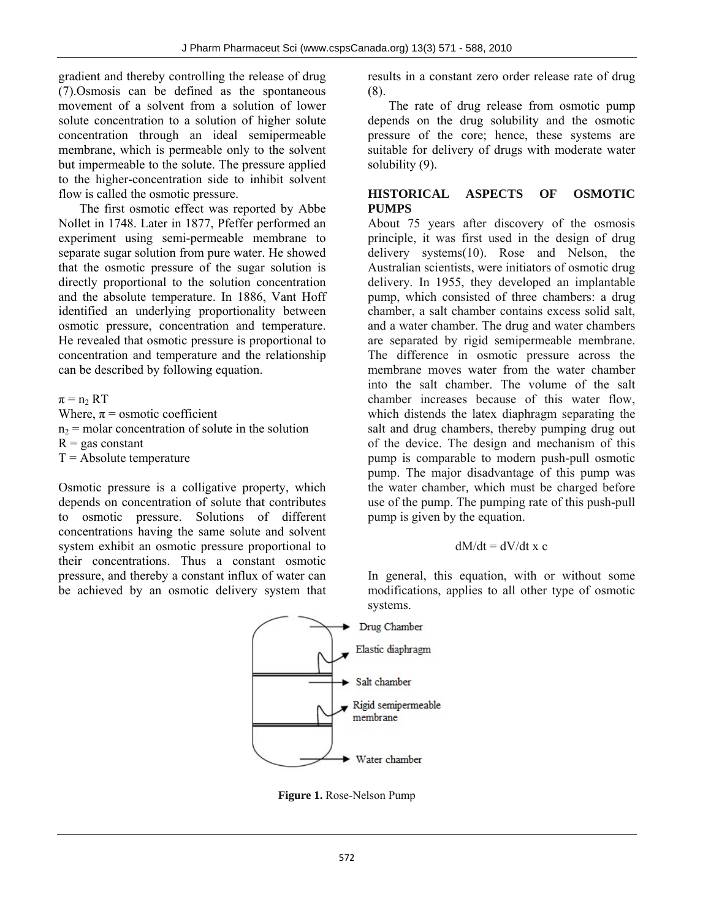gradient and thereby controlling the release of drug (7).Osmosis can be defined as the spontaneous movement of a solvent from a solution of lower solute concentration to a solution of higher solute concentration through an ideal semipermeable membrane, which is permeable only to the solvent but impermeable to the solute. The pressure applied to the higher-concentration side to inhibit solvent flow is called the osmotic pressure.

The first osmotic effect was reported by Abbe Nollet in 1748. Later in 1877, Pfeffer performed an experiment using semi-permeable membrane to separate sugar solution from pure water. He showed that the osmotic pressure of the sugar solution is directly proportional to the solution concentration and the absolute temperature. In 1886, Vant Hoff identified an underlying proportionality between osmotic pressure, concentration and temperature. He revealed that osmotic pressure is proportional to concentration and temperature and the relationship can be described by following equation.

 $\pi$  = n<sub>2</sub> RT Where,  $\pi$  = osmotic coefficient  $n_2$  = molar concentration of solute in the solution  $R = gas constant$  $T =$  Absolute temperature

Osmotic pressure is a colligative property, which depends on concentration of solute that contributes to osmotic pressure. Solutions of different concentrations having the same solute and solvent system exhibit an osmotic pressure proportional to their concentrations. Thus a constant osmotic pressure, and thereby a constant influx of water can be achieved by an osmotic delivery system that

results in a constant zero order release rate of drug (8).

The rate of drug release from osmotic pump depends on the drug solubility and the osmotic pressure of the core; hence, these systems are suitable for delivery of drugs with moderate water solubility (9).

#### **HISTORICAL ASPECTS OF OSMOTIC PUMPS**

About 75 years after discovery of the osmosis principle, it was first used in the design of drug delivery systems(10). Rose and Nelson, the Australian scientists, were initiators of osmotic drug delivery. In 1955, they developed an implantable pump, which consisted of three chambers: a drug chamber, a salt chamber contains excess solid salt, and a water chamber. The drug and water chambers are separated by rigid semipermeable membrane. The difference in osmotic pressure across the membrane moves water from the water chamber into the salt chamber. The volume of the salt chamber increases because of this water flow, which distends the latex diaphragm separating the salt and drug chambers, thereby pumping drug out of the device. The design and mechanism of this pump is comparable to modern push-pull osmotic pump. The major disadvantage of this pump was the water chamber*,* which must be charged before use of the pump. The pumping rate of this push-pull pump is given by the equation.

$$
dM/dt = dV/dt \times c
$$

In general, this equation, with or without some modifications, applies to all other type of osmotic systems.



**Figure 1.** Rose-Nelson Pump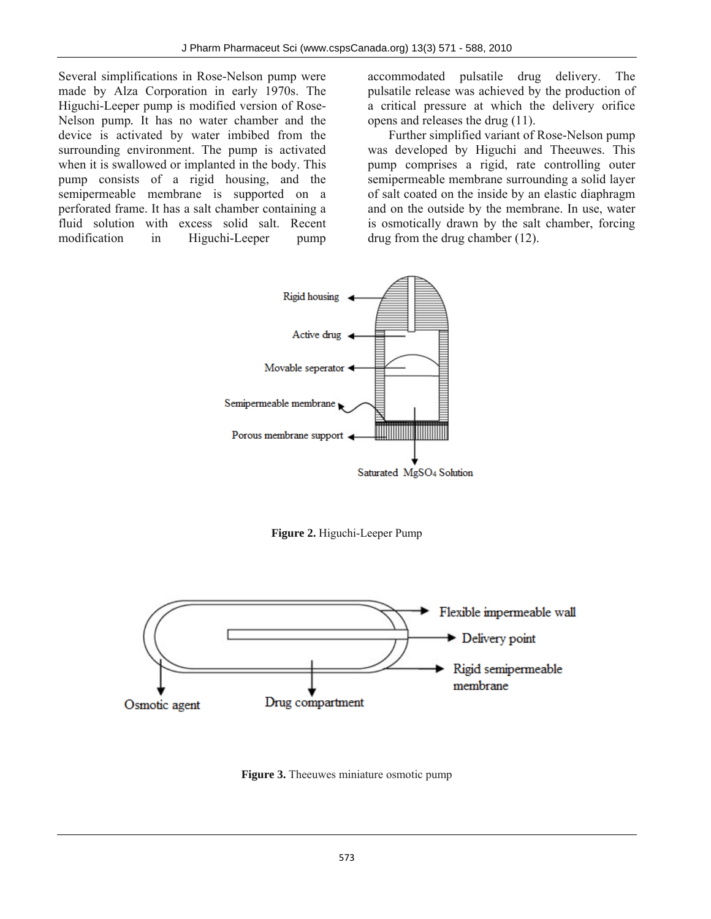Several simplifications in Rose-Nelson pump were made by Alza Corporation in early 1970s. The Higuchi-Leeper pump is modified version of Rose-Nelson pump*.* It has no water chamber and the device is activated by water imbibed from the surrounding environment. The pump is activated when it is swallowed or implanted in the body. This pump consists of a rigid housing, and the semipermeable membrane is supported on a perforated frame. It has a salt chamber containing a fluid solution with excess solid salt. Recent modification in Higuchi-Leeper pump accommodated pulsatile drug delivery. The pulsatile release was achieved by the production of a critical pressure at which the delivery orifice opens and releases the drug (11).

Further simplified variant of Rose-Nelson pump was developed by Higuchi and Theeuwes. This pump comprises a rigid, rate controlling outer semipermeable membrane surrounding a solid layer of salt coated on the inside by an elastic diaphragm and on the outside by the membrane. In use, water is osmotically drawn by the salt chamber, forcing drug from the drug chamber (12).



**Figure 2.** Higuchi-Leeper Pump



**Figure 3.** Theeuwes miniature osmotic pump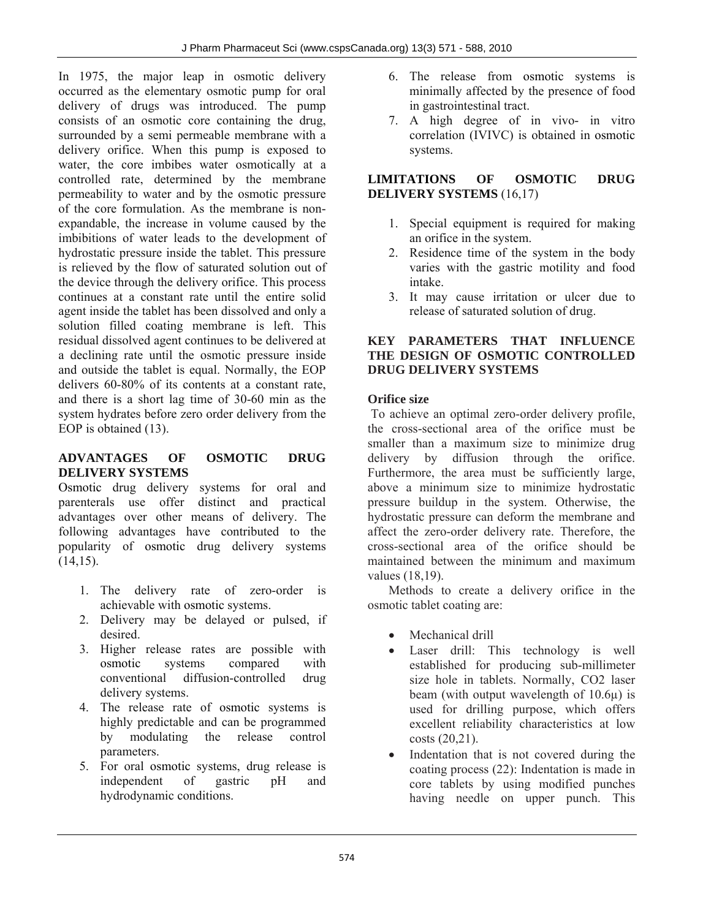In 1975, the major leap in osmotic delivery occurred as the elementary osmotic pump for oral delivery of drugs was introduced. The pump consists of an osmotic core containing the drug, surrounded by a semi permeable membrane with a delivery orifice. When this pump is exposed to water, the core imbibes water osmotically at a controlled rate, determined by the membrane permeability to water and by the osmotic pressure of the core formulation. As the membrane is nonexpandable, the increase in volume caused by the imbibitions of water leads to the development of hydrostatic pressure inside the tablet. This pressure is relieved by the flow of saturated solution out of the device through the delivery orifice. This process continues at a constant rate until the entire solid agent inside the tablet has been dissolved and only a solution filled coating membrane is left. This residual dissolved agent continues to be delivered at a declining rate until the osmotic pressure inside and outside the tablet is equal. Normally, the EOP delivers 60-80% of its contents at a constant rate, and there is a short lag time of 30-60 min as the system hydrates before zero order delivery from the EOP is obtained (13).

# **ADVANTAGES OF OSMOTIC DRUG DELIVERY SYSTEMS**

Osmotic drug delivery systems for oral and parenterals use offer distinct and practical advantages over other means of delivery. The following advantages have contributed to the popularity of osmotic drug delivery systems  $(14,15)$ .

- 1. The delivery rate of zero-order is achievable with osmotic systems.
- 2. Delivery may be delayed or pulsed, if desired.
- 3. Higher release rates are possible with osmotic systems compared with conventional diffusion-controlled drug delivery systems.
- 4. The release rate of osmotic systems is highly predictable and can be programmed by modulating the release control parameters.
- 5. For oral osmotic systems, drug release is<br>independent of gastric pH and independent of gastric pH and hydrodynamic conditions.
- 6. The release from osmotic systems is minimally affected by the presence of food in gastrointestinal tract.
- 7. A high degree of in vivo- in vitro correlation (IVIVC) is obtained in osmotic systems.

### **LIMITATIONS OF OSMOTIC DRUG DELIVERY SYSTEMS** (16,17)

- 1. Special equipment is required for making an orifice in the system.
- 2. Residence time of the system in the body varies with the gastric motility and food intake.
- 3. It may cause irritation or ulcer due to release of saturated solution of drug.

#### **KEY PARAMETERS THAT INFLUENCE THE DESIGN OF OSMOTIC CONTROLLED DRUG DELIVERY SYSTEMS**

# **Orifice size**

To achieve an optimal zero-order delivery profile, the cross-sectional area of the orifice must be smaller than a maximum size to minimize drug delivery by diffusion through the orifice. Furthermore, the area must be sufficiently large, above a minimum size to minimize hydrostatic pressure buildup in the system. Otherwise, the hydrostatic pressure can deform the membrane and affect the zero-order delivery rate. Therefore, the cross-sectional area of the orifice should be maintained between the minimum and maximum values (18,19).

Methods to create a delivery orifice in the osmotic tablet coating are:

- Mechanical drill
- Laser drill: This technology is well established for producing sub-millimeter size hole in tablets. Normally, CO2 laser beam (with output wavelength of 10.6µ) is used for drilling purpose, which offers excellent reliability characteristics at low costs (20,21).
- Indentation that is not covered during the coating process (22): Indentation is made in core tablets by using modified punches having needle on upper punch. This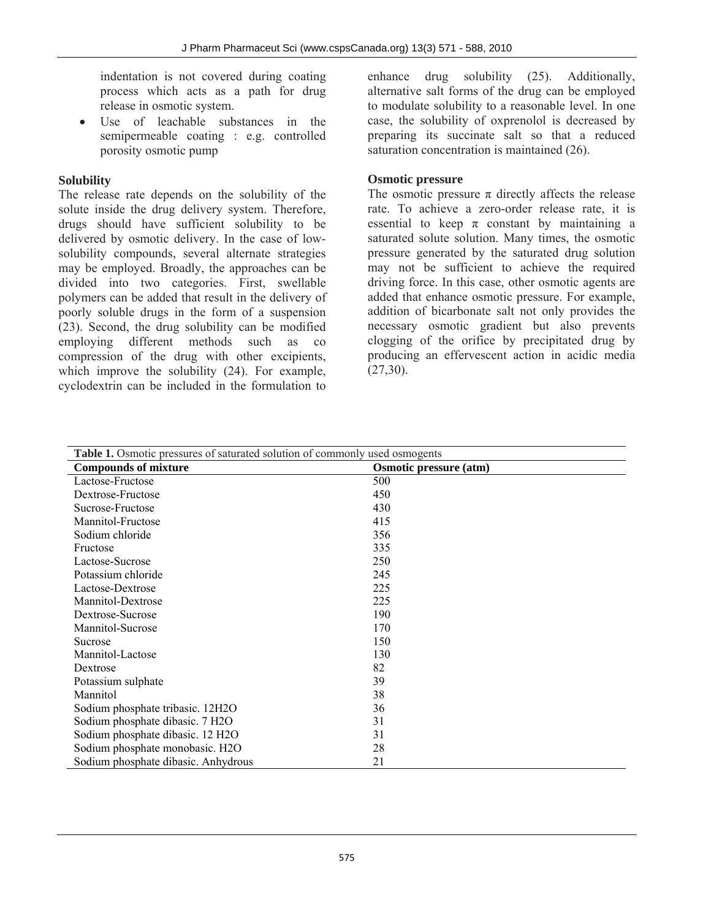indentation is not covered during coating process which acts as a path for drug release in osmotic system.

 Use of leachable substances in the semipermeable coating : e.g. controlled porosity osmotic pump

### **Solubility**

The release rate depends on the solubility of the solute inside the drug delivery system. Therefore, drugs should have sufficient solubility to be delivered by osmotic delivery. In the case of lowsolubility compounds, several alternate strategies may be employed. Broadly, the approaches can be divided into two categories. First, swellable polymers can be added that result in the delivery of poorly soluble drugs in the form of a suspension (23). Second, the drug solubility can be modified employing different methods such as co compression of the drug with other excipients, which improve the solubility (24). For example, cyclodextrin can be included in the formulation to enhance drug solubility (25). Additionally, alternative salt forms of the drug can be employed to modulate solubility to a reasonable level. In one case, the solubility of oxprenolol is decreased by preparing its succinate salt so that a reduced saturation concentration is maintained (26).

### **Osmotic pressure**

The osmotic pressure  $\pi$  directly affects the release rate. To achieve a zero-order release rate, it is essential to keep  $\pi$  constant by maintaining a saturated solute solution. Many times, the osmotic pressure generated by the saturated drug solution may not be sufficient to achieve the required driving force. In this case, other osmotic agents are added that enhance osmotic pressure. For example, addition of bicarbonate salt not only provides the necessary osmotic gradient but also prevents clogging of the orifice by precipitated drug by producing an effervescent action in acidic media (27,30).

| Table 1. Osmotic pressures of saturated solution of commonly used osmogents |                        |  |  |  |  |
|-----------------------------------------------------------------------------|------------------------|--|--|--|--|
| <b>Compounds of mixture</b>                                                 | Osmotic pressure (atm) |  |  |  |  |
| Lactose-Fructose                                                            | 500                    |  |  |  |  |
| Dextrose-Fructose                                                           | 450                    |  |  |  |  |
| Sucrose-Fructose                                                            | 430                    |  |  |  |  |
| Mannitol-Fructose                                                           | 415                    |  |  |  |  |
| Sodium chloride                                                             | 356                    |  |  |  |  |
| Fructose                                                                    | 335                    |  |  |  |  |
| Lactose-Sucrose                                                             | 250                    |  |  |  |  |
| Potassium chloride                                                          | 245                    |  |  |  |  |
| Lactose-Dextrose                                                            | 225                    |  |  |  |  |
| Mannitol-Dextrose                                                           | 225                    |  |  |  |  |
| Dextrose-Sucrose                                                            | 190                    |  |  |  |  |
| Mannitol-Sucrose                                                            | 170                    |  |  |  |  |
| Sucrose                                                                     | 150                    |  |  |  |  |
| Mannitol-Lactose                                                            | 130                    |  |  |  |  |
| Dextrose                                                                    | 82                     |  |  |  |  |
| Potassium sulphate                                                          | 39                     |  |  |  |  |
| Mannitol                                                                    | 38                     |  |  |  |  |
| Sodium phosphate tribasic. 12H2O                                            | 36                     |  |  |  |  |
| Sodium phosphate dibasic. 7 H2O                                             | 31                     |  |  |  |  |
| Sodium phosphate dibasic. 12 H2O                                            | 31                     |  |  |  |  |
| Sodium phosphate monobasic. H2O                                             | 28                     |  |  |  |  |
| Sodium phosphate dibasic. Anhydrous                                         | 21                     |  |  |  |  |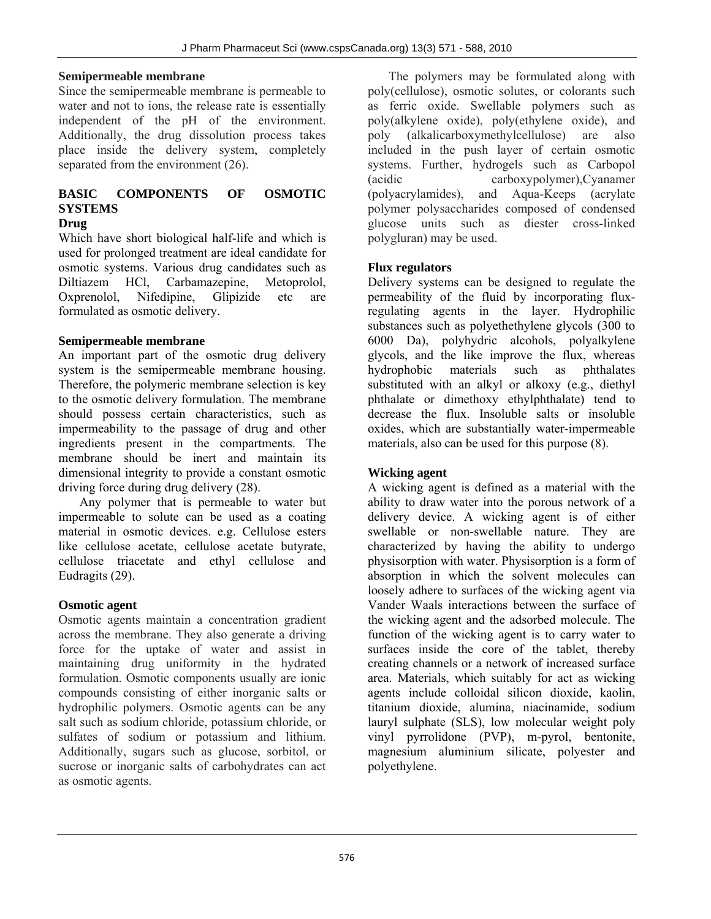### **Semipermeable membrane**

Since the semipermeable membrane is permeable to water and not to ions, the release rate is essentially independent of the pH of the environment. Additionally, the drug dissolution process takes place inside the delivery system, completely separated from the environment (26).

# **BASIC COMPONENTS OF OSMOTIC SYSTEMS**

#### **Drug**

Which have short biological half-life and which is used for prolonged treatment are ideal candidate for osmotic systems. Various drug candidates such as Diltiazem HCl, Carbamazepine, Metoprolol, Oxprenolol, Nifedipine, Glipizide etc are formulated as osmotic delivery.

#### **Semipermeable membrane**

An important part of the osmotic drug delivery system is the semipermeable membrane housing. Therefore, the polymeric membrane selection is key to the osmotic delivery formulation. The membrane should possess certain characteristics, such as impermeability to the passage of drug and other ingredients present in the compartments. The membrane should be inert and maintain its dimensional integrity to provide a constant osmotic driving force during drug delivery (28).

Any polymer that is permeable to water but impermeable to solute can be used as a coating material in osmotic devices. e.g. Cellulose esters like cellulose acetate, cellulose acetate butyrate, cellulose triacetate and ethyl cellulose and Eudragits (29).

# **Osmotic agent**

Osmotic agents maintain a concentration gradient across the membrane. They also generate a driving force for the uptake of water and assist in maintaining drug uniformity in the hydrated formulation. Osmotic components usually are ionic compounds consisting of either inorganic salts or hydrophilic polymers. Osmotic agents can be any salt such as sodium chloride, potassium chloride, or sulfates of sodium or potassium and lithium. Additionally, sugars such as glucose, sorbitol, or sucrose or inorganic salts of carbohydrates can act as osmotic agents.

The polymers may be formulated along with poly(cellulose), osmotic solutes, or colorants such as ferric oxide. Swellable polymers such as poly(alkylene oxide), poly(ethylene oxide), and poly (alkalicarboxymethylcellulose) are also included in the push layer of certain osmotic systems. Further, hydrogels such as Carbopol (acidic carboxypolymer),Cyanamer (polyacrylamides), and Aqua-Keeps (acrylate polymer polysaccharides composed of condensed glucose units such as diester cross-linked polygluran) may be used.

# **Flux regulators**

Delivery systems can be designed to regulate the permeability of the fluid by incorporating fluxregulating agents in the layer. Hydrophilic substances such as polyethethylene glycols (300 to 6000 Da), polyhydric alcohols, polyalkylene glycols, and the like improve the flux, whereas hydrophobic materials such as phthalates substituted with an alkyl or alkoxy (e.g., diethyl phthalate or dimethoxy ethylphthalate) tend to decrease the flux. Insoluble salts or insoluble oxides, which are substantially water-impermeable materials, also can be used for this purpose (8).

#### **Wicking agent**

A wicking agent is defined as a material with the ability to draw water into the porous network of a delivery device. A wicking agent is of either swellable or non-swellable nature. They are characterized by having the ability to undergo physisorption with water. Physisorption is a form of absorption in which the solvent molecules can loosely adhere to surfaces of the wicking agent via Vander Waals interactions between the surface of the wicking agent and the adsorbed molecule. The function of the wicking agent is to carry water to surfaces inside the core of the tablet, thereby creating channels or a network of increased surface area. Materials, which suitably for act as wicking agents include colloidal silicon dioxide, kaolin, titanium dioxide, alumina, niacinamide, sodium lauryl sulphate (SLS), low molecular weight poly vinyl pyrrolidone (PVP), m-pyrol, bentonite, magnesium aluminium silicate, polyester and polyethylene.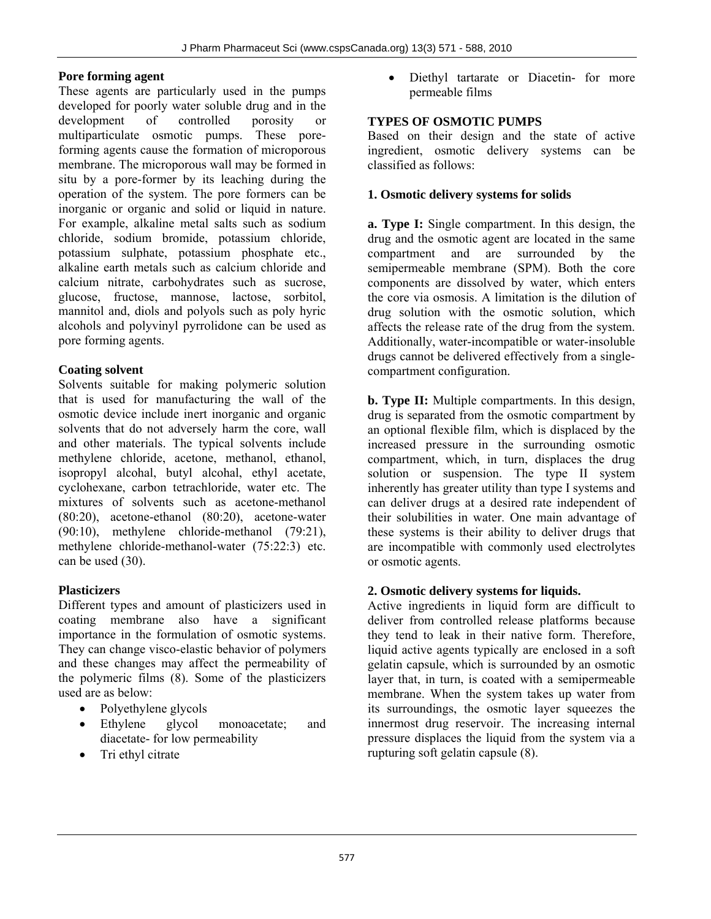#### **Pore forming agent**

These agents are particularly used in the pumps developed for poorly water soluble drug and in the development of controlled porosity or multiparticulate osmotic pumps. These poreforming agents cause the formation of microporous membrane. The microporous wall may be formed in situ by a pore-former by its leaching during the operation of the system. The pore formers can be inorganic or organic and solid or liquid in nature. For example, alkaline metal salts such as sodium chloride, sodium bromide, potassium chloride, potassium sulphate, potassium phosphate etc., alkaline earth metals such as calcium chloride and calcium nitrate, carbohydrates such as sucrose, glucose, fructose, mannose, lactose, sorbitol, mannitol and, diols and polyols such as poly hyric alcohols and polyvinyl pyrrolidone can be used as pore forming agents.

# **Coating solvent**

Solvents suitable for making polymeric solution that is used for manufacturing the wall of the osmotic device include inert inorganic and organic solvents that do not adversely harm the core, wall and other materials. The typical solvents include methylene chloride, acetone, methanol, ethanol, isopropyl alcohal, butyl alcohal, ethyl acetate, cyclohexane, carbon tetrachloride, water etc. The mixtures of solvents such as acetone-methanol (80:20), acetone-ethanol (80:20), acetone-water (90:10), methylene chloride-methanol (79:21), methylene chloride-methanol-water (75:22:3) etc. can be used (30).

# **Plasticizers**

Different types and amount of plasticizers used in coating membrane also have a significant importance in the formulation of osmotic systems. They can change visco-elastic behavior of polymers and these changes may affect the permeability of the polymeric films (8). Some of the plasticizers used are as below:

- Polyethylene glycols
- Ethylene glycol monoacetate; and diacetate- for low permeability
- Tri ethyl citrate

 Diethyl tartarate or Diacetin- for more permeable films

#### **TYPES OF OSMOTIC PUMPS**

Based on their design and the state of active ingredient, osmotic delivery systems can be classified as follows:

### **1. Osmotic delivery systems for solids**

**a. Type I:** Single compartment. In this design, the drug and the osmotic agent are located in the same compartment and are surrounded by the semipermeable membrane (SPM). Both the core components are dissolved by water, which enters the core via osmosis. A limitation is the dilution of drug solution with the osmotic solution, which affects the release rate of the drug from the system. Additionally, water-incompatible or water-insoluble drugs cannot be delivered effectively from a singlecompartment configuration.

**b. Type II:** Multiple compartments. In this design, drug is separated from the osmotic compartment by an optional flexible film, which is displaced by the increased pressure in the surrounding osmotic compartment, which, in turn, displaces the drug solution or suspension. The type II system inherently has greater utility than type I systems and can deliver drugs at a desired rate independent of their solubilities in water. One main advantage of these systems is their ability to deliver drugs that are incompatible with commonly used electrolytes or osmotic agents.

# **2. Osmotic delivery systems for liquids.**

Active ingredients in liquid form are difficult to deliver from controlled release platforms because they tend to leak in their native form. Therefore, liquid active agents typically are enclosed in a soft gelatin capsule, which is surrounded by an osmotic layer that, in turn, is coated with a semipermeable membrane. When the system takes up water from its surroundings, the osmotic layer squeezes the innermost drug reservoir. The increasing internal pressure displaces the liquid from the system via a rupturing soft gelatin capsule (8).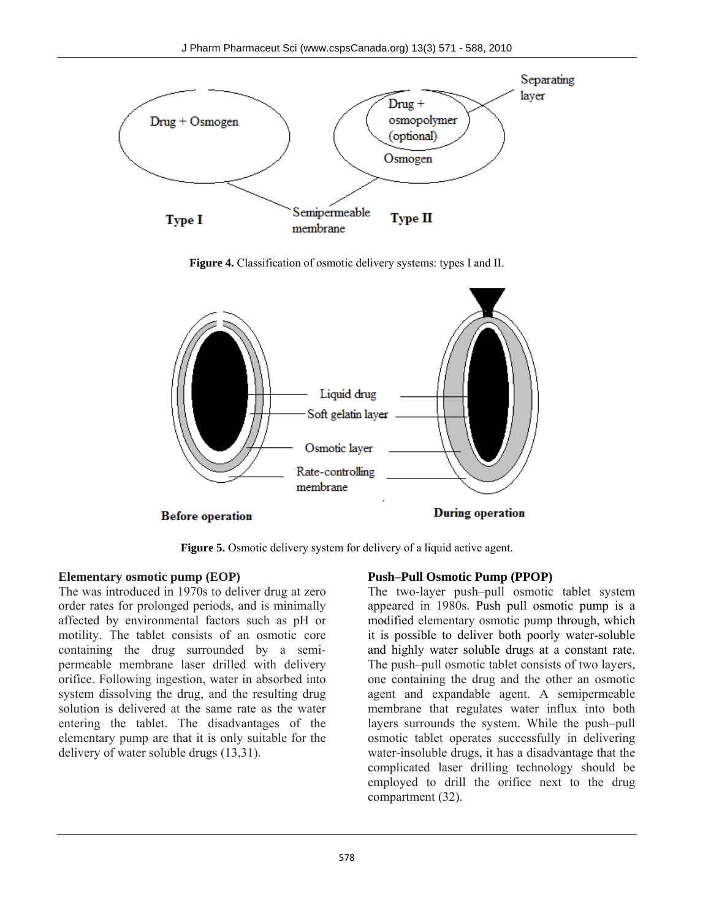

**Figure 4.** Classification of osmotic delivery systems: types I and II.



**Figure 5.** Osmotic delivery system for delivery of a liquid active agent.

# **Elementary osmotic pump (EOP)**

The was introduced in 1970s to deliver drug at zero order rates for prolonged periods, and is minimally affected by environmental factors such as pH or motility. The tablet consists of an osmotic core containing the drug surrounded by a semipermeable membrane laser drilled with delivery orifice. Following ingestion, water in absorbed into system dissolving the drug, and the resulting drug solution is delivered at the same rate as the water entering the tablet. The disadvantages of the elementary pump are that it is only suitable for the delivery of water soluble drugs (13,31).

#### **Push–Pull Osmotic Pump (PPOP)**

The two-layer push–pull osmotic tablet system appeared in 1980s. Push pull osmotic pump is a modified elementary osmotic pump through, which it is possible to deliver both poorly water-soluble and highly water soluble drugs at a constant rate. The push–pull osmotic tablet consists of two layers, one containing the drug and the other an osmotic agent and expandable agent. A semipermeable membrane that regulates water influx into both layers surrounds the system. While the push–pull osmotic tablet operates successfully in delivering water-insoluble drugs, it has a disadvantage that the complicated laser drilling technology should be employed to drill the orifice next to the drug compartment (32).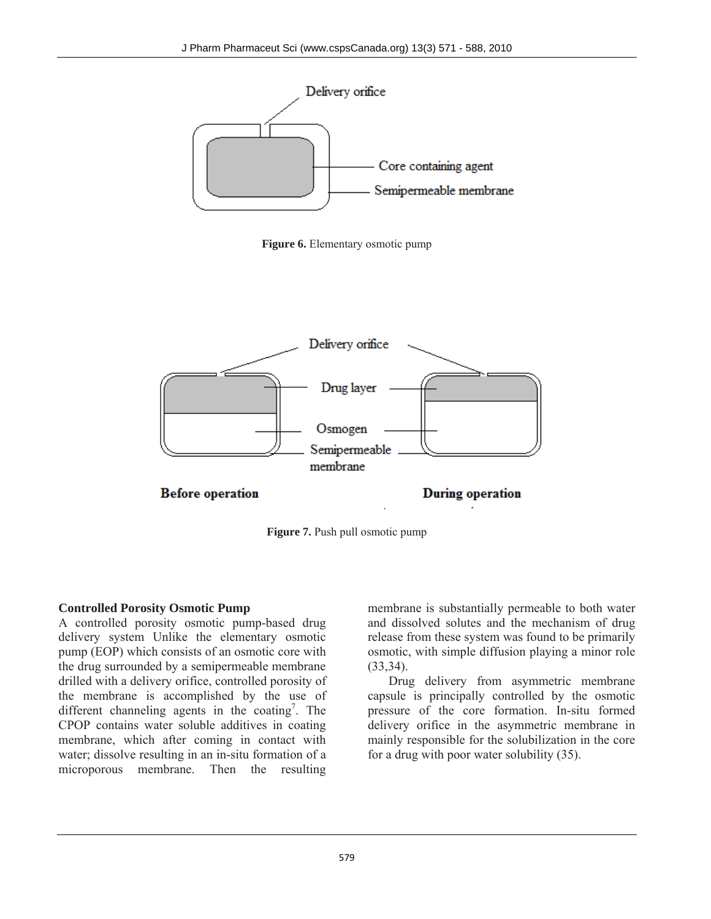

**Figure 6.** Elementary osmotic pump



**Figure 7.** Push pull osmotic pump

#### **Controlled Porosity Osmotic Pump**

A controlled porosity osmotic pump-based drug delivery system Unlike the elementary osmotic pump (EOP) which consists of an osmotic core with the drug surrounded by a semipermeable membrane drilled with a delivery orifice, controlled porosity of the membrane is accomplished by the use of different channeling agents in the coating<sup>7</sup>. The CPOP contains water soluble additives in coating membrane, which after coming in contact with water; dissolve resulting in an in-situ formation of a microporous membrane. Then the resulting

membrane is substantially permeable to both water and dissolved solutes and the mechanism of drug release from these system was found to be primarily osmotic, with simple diffusion playing a minor role (33,34).

Drug delivery from asymmetric membrane capsule is principally controlled by the osmotic pressure of the core formation. In-situ formed delivery orifice in the asymmetric membrane in mainly responsible for the solubilization in the core for a drug with poor water solubility (35).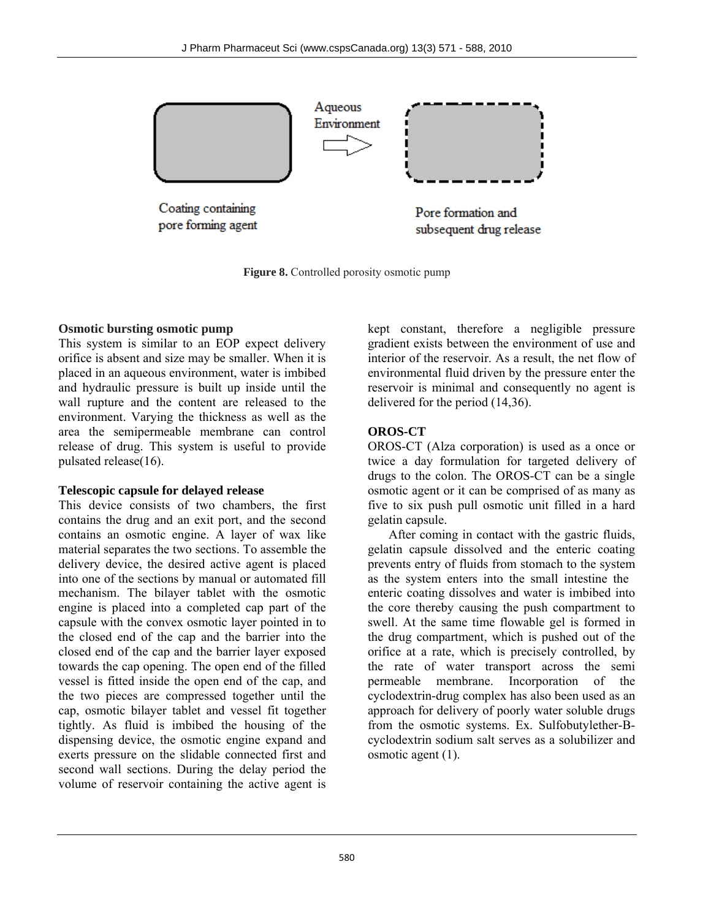

**Figure 8.** Controlled porosity osmotic pump

#### **Osmotic bursting osmotic pump**

This system is similar to an EOP expect delivery orifice is absent and size may be smaller. When it is placed in an aqueous environment, water is imbibed and hydraulic pressure is built up inside until the wall rupture and the content are released to the environment. Varying the thickness as well as the area the semipermeable membrane can control release of drug. This system is useful to provide pulsated release(16).

#### **Telescopic capsule for delayed release**

This device consists of two chambers, the first contains the drug and an exit port, and the second contains an osmotic engine. A layer of wax like material separates the two sections. To assemble the delivery device, the desired active agent is placed into one of the sections by manual or automated fill mechanism. The bilayer tablet with the osmotic engine is placed into a completed cap part of the capsule with the convex osmotic layer pointed in to the closed end of the cap and the barrier into the closed end of the cap and the barrier layer exposed towards the cap opening. The open end of the filled vessel is fitted inside the open end of the cap, and the two pieces are compressed together until the cap, osmotic bilayer tablet and vessel fit together tightly. As fluid is imbibed the housing of the dispensing device, the osmotic engine expand and exerts pressure on the slidable connected first and second wall sections. During the delay period the volume of reservoir containing the active agent is

kept constant, therefore a negligible pressure gradient exists between the environment of use and interior of the reservoir. As a result, the net flow of environmental fluid driven by the pressure enter the reservoir is minimal and consequently no agent is delivered for the period (14,36).

# **OROS-CT**

OROS-CT (Alza corporation) is used as a once or twice a day formulation for targeted delivery of drugs to the colon. The OROS-CT can be a single osmotic agent or it can be comprised of as many as five to six push pull osmotic unit filled in a hard gelatin capsule.

After coming in contact with the gastric fluids, gelatin capsule dissolved and the enteric coating prevents entry of fluids from stomach to the system as the system enters into the small intestine the enteric coating dissolves and water is imbibed into the core thereby causing the push compartment to swell. At the same time flowable gel is formed in the drug compartment, which is pushed out of the orifice at a rate, which is precisely controlled, by the rate of water transport across the semi permeable membrane. Incorporation of the cyclodextrin-drug complex has also been used as an approach for delivery of poorly water soluble drugs from the osmotic systems. Ex. Sulfobutylether-Bcyclodextrin sodium salt serves as a solubilizer and osmotic agent (1).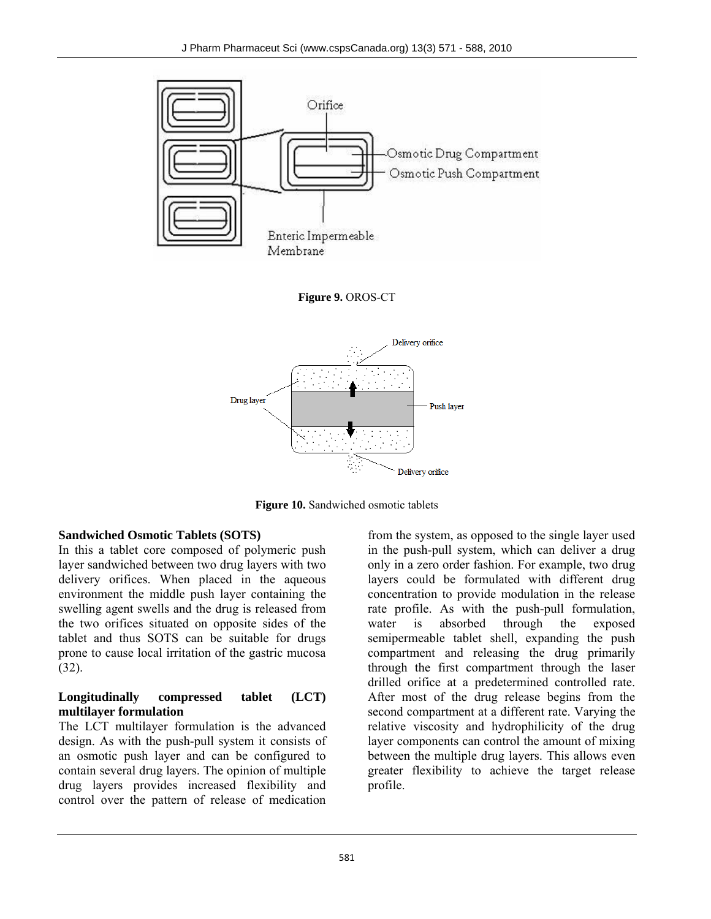

**Figure 9.** OROS-CT



**Figure 10.** Sandwiched osmotic tablets

# **Sandwiched Osmotic Tablets (SOTS)**

In this a tablet core composed of polymeric push layer sandwiched between two drug layers with two delivery orifices. When placed in the aqueous environment the middle push layer containing the swelling agent swells and the drug is released from the two orifices situated on opposite sides of the tablet and thus SOTS can be suitable for drugs prone to cause local irritation of the gastric mucosa (32).

#### **Longitudinally compressed tablet (LCT) multilayer formulation**

The LCT multilayer formulation is the advanced design. As with the push-pull system it consists of an osmotic push layer and can be configured to contain several drug layers. The opinion of multiple drug layers provides increased flexibility and control over the pattern of release of medication

from the system, as opposed to the single layer used in the push-pull system, which can deliver a drug only in a zero order fashion. For example, two drug layers could be formulated with different drug concentration to provide modulation in the release rate profile. As with the push-pull formulation, water is absorbed through the exposed semipermeable tablet shell, expanding the push compartment and releasing the drug primarily through the first compartment through the laser drilled orifice at a predetermined controlled rate. After most of the drug release begins from the second compartment at a different rate. Varying the relative viscosity and hydrophilicity of the drug layer components can control the amount of mixing between the multiple drug layers. This allows even greater flexibility to achieve the target release profile.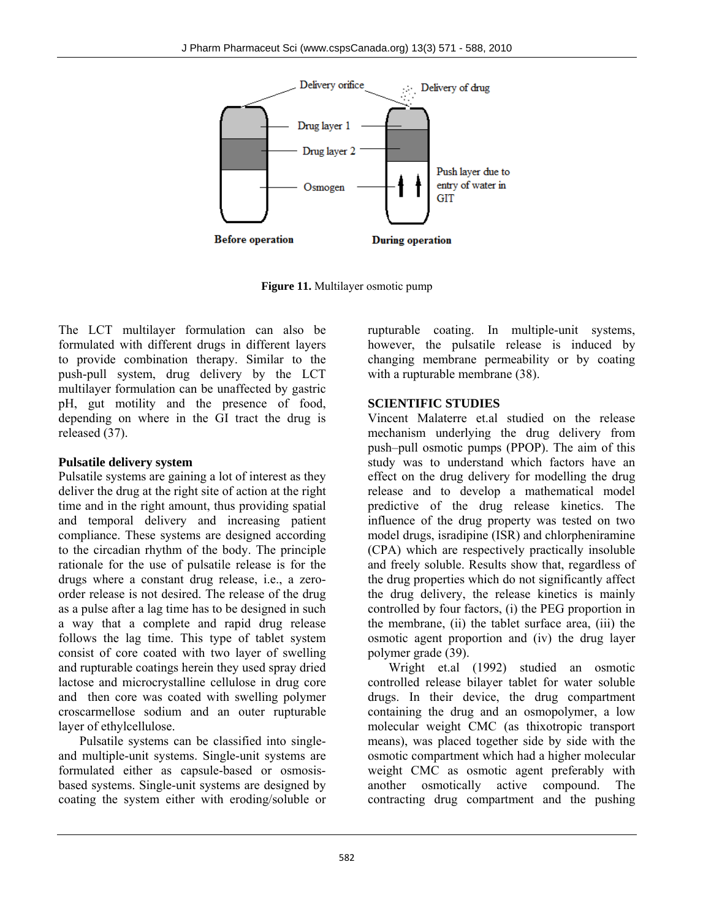

**Figure 11.** Multilayer osmotic pump

The LCT multilayer formulation can also be formulated with different drugs in different layers to provide combination therapy. Similar to the push-pull system, drug delivery by the LCT multilayer formulation can be unaffected by gastric pH, gut motility and the presence of food, depending on where in the GI tract the drug is released (37).

# **Pulsatile delivery system**

Pulsatile systems are gaining a lot of interest as they deliver the drug at the right site of action at the right time and in the right amount, thus providing spatial and temporal delivery and increasing patient compliance. These systems are designed according to the circadian rhythm of the body. The principle rationale for the use of pulsatile release is for the drugs where a constant drug release, i.e., a zeroorder release is not desired. The release of the drug as a pulse after a lag time has to be designed in such a way that a complete and rapid drug release follows the lag time. This type of tablet system consist of core coated with two layer of swelling and rupturable coatings herein they used spray dried lactose and microcrystalline cellulose in drug core and then core was coated with swelling polymer croscarmellose sodium and an outer rupturable layer of ethylcellulose.

Pulsatile systems can be classified into singleand multiple-unit systems. Single-unit systems are formulated either as capsule-based or osmosisbased systems. Single-unit systems are designed by coating the system either with eroding/soluble or rupturable coating. In multiple-unit systems, however, the pulsatile release is induced by changing membrane permeability or by coating with a rupturable membrane (38).

# **SCIENTIFIC STUDIES**

Vincent Malaterre et.al studied on the release mechanism underlying the drug delivery from push–pull osmotic pumps (PPOP). The aim of this study was to understand which factors have an effect on the drug delivery for modelling the drug release and to develop a mathematical model predictive of the drug release kinetics. The influence of the drug property was tested on two model drugs, isradipine (ISR) and chlorpheniramine (CPA) which are respectively practically insoluble and freely soluble. Results show that, regardless of the drug properties which do not significantly affect the drug delivery, the release kinetics is mainly controlled by four factors, (i) the PEG proportion in the membrane, (ii) the tablet surface area, (iii) the osmotic agent proportion and (iv) the drug layer polymer grade (39).

Wright et.al (1992) studied an osmotic controlled release bilayer tablet for water soluble drugs. In their device, the drug compartment containing the drug and an osmopolymer, a low molecular weight CMC (as thixotropic transport means), was placed together side by side with the osmotic compartment which had a higher molecular weight CMC as osmotic agent preferably with another osmotically active compound. The contracting drug compartment and the pushing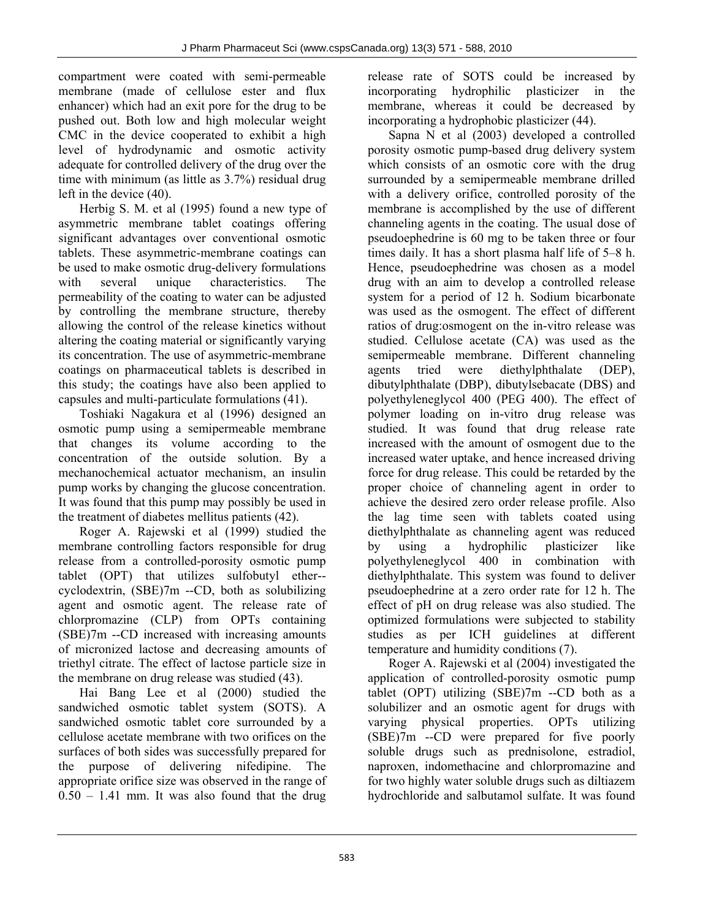compartment were coated with semi-permeable membrane (made of cellulose ester and flux enhancer) which had an exit pore for the drug to be pushed out. Both low and high molecular weight CMC in the device cooperated to exhibit a high level of hydrodynamic and osmotic activity adequate for controlled delivery of the drug over the time with minimum (as little as 3.7%) residual drug left in the device (40).

Herbig S. M. et al (1995) found a new type of asymmetric membrane tablet coatings offering significant advantages over conventional osmotic tablets. These asymmetric-membrane coatings can be used to make osmotic drug-delivery formulations with several unique characteristics. The permeability of the coating to water can be adjusted by controlling the membrane structure, thereby allowing the control of the release kinetics without altering the coating material or significantly varying its concentration. The use of asymmetric-membrane coatings on pharmaceutical tablets is described in this study; the coatings have also been applied to capsules and multi-particulate formulations (41).

Toshiaki Nagakura et al (1996) designed an osmotic pump using a semipermeable membrane that changes its volume according to the concentration of the outside solution. By a mechanochemical actuator mechanism, an insulin pump works by changing the glucose concentration. It was found that this pump may possibly be used in the treatment of diabetes mellitus patients (42).

Roger A. Rajewski et al (1999) studied the membrane controlling factors responsible for drug release from a controlled-porosity osmotic pump tablet (OPT) that utilizes sulfobutyl ether- cyclodextrin, (SBE)7m --CD, both as solubilizing agent and osmotic agent. The release rate of chlorpromazine (CLP) from OPTs containing (SBE)7m --CD increased with increasing amounts of micronized lactose and decreasing amounts of triethyl citrate. The effect of lactose particle size in the membrane on drug release was studied (43).

Hai Bang Lee et al (2000) studied the sandwiched osmotic tablet system (SOTS). A sandwiched osmotic tablet core surrounded by a cellulose acetate membrane with two orifices on the surfaces of both sides was successfully prepared for the purpose of delivering nifedipine. The appropriate orifice size was observed in the range of  $0.50 - 1.41$  mm. It was also found that the drug release rate of SOTS could be increased by incorporating hydrophilic plasticizer in the membrane, whereas it could be decreased by incorporating a hydrophobic plasticizer (44).

Sapna N et al (2003) developed a controlled porosity osmotic pump-based drug delivery system which consists of an osmotic core with the drug surrounded by a semipermeable membrane drilled with a delivery orifice, controlled porosity of the membrane is accomplished by the use of different channeling agents in the coating. The usual dose of pseudoephedrine is 60 mg to be taken three or four times daily. It has a short plasma half life of 5–8 h. Hence, pseudoephedrine was chosen as a model drug with an aim to develop a controlled release system for a period of 12 h. Sodium bicarbonate was used as the osmogent. The effect of different ratios of drug:osmogent on the in-vitro release was studied. Cellulose acetate (CA) was used as the semipermeable membrane. Different channeling agents tried were diethylphthalate (DEP), dibutylphthalate (DBP), dibutylsebacate (DBS) and polyethyleneglycol 400 (PEG 400). The effect of polymer loading on in-vitro drug release was studied. It was found that drug release rate increased with the amount of osmogent due to the increased water uptake, and hence increased driving force for drug release. This could be retarded by the proper choice of channeling agent in order to achieve the desired zero order release profile. Also the lag time seen with tablets coated using diethylphthalate as channeling agent was reduced by using a hydrophilic plasticizer like polyethyleneglycol 400 in combination with diethylphthalate. This system was found to deliver pseudoephedrine at a zero order rate for 12 h. The effect of pH on drug release was also studied. The optimized formulations were subjected to stability studies as per ICH guidelines at different temperature and humidity conditions (7).

Roger A. Rajewski et al (2004) investigated the application of controlled-porosity osmotic pump tablet (OPT) utilizing (SBE)7m --CD both as a solubilizer and an osmotic agent for drugs with varying physical properties. OPTs utilizing (SBE)7m --CD were prepared for five poorly soluble drugs such as prednisolone, estradiol, naproxen, indomethacine and chlorpromazine and for two highly water soluble drugs such as diltiazem hydrochloride and salbutamol sulfate. It was found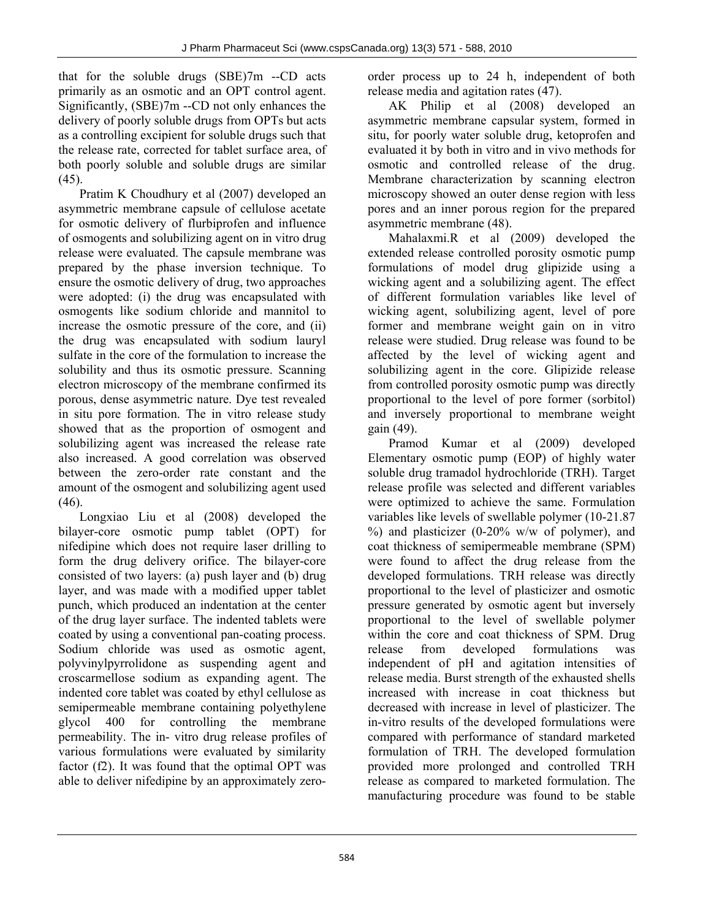that for the soluble drugs (SBE)7m --CD acts primarily as an osmotic and an OPT control agent. Significantly, (SBE)7m --CD not only enhances the delivery of poorly soluble drugs from OPTs but acts as a controlling excipient for soluble drugs such that the release rate, corrected for tablet surface area, of both poorly soluble and soluble drugs are similar (45).

Pratim K Choudhury et al (2007) developed an asymmetric membrane capsule of cellulose acetate for osmotic delivery of flurbiprofen and influence of osmogents and solubilizing agent on in vitro drug release were evaluated. The capsule membrane was prepared by the phase inversion technique. To ensure the osmotic delivery of drug, two approaches were adopted: (i) the drug was encapsulated with osmogents like sodium chloride and mannitol to increase the osmotic pressure of the core, and (ii) the drug was encapsulated with sodium lauryl sulfate in the core of the formulation to increase the solubility and thus its osmotic pressure. Scanning electron microscopy of the membrane confirmed its porous, dense asymmetric nature. Dye test revealed in situ pore formation. The in vitro release study showed that as the proportion of osmogent and solubilizing agent was increased the release rate also increased. A good correlation was observed between the zero-order rate constant and the amount of the osmogent and solubilizing agent used (46).

Longxiao Liu et al (2008) developed the bilayer-core osmotic pump tablet (OPT) for nifedipine which does not require laser drilling to form the drug delivery orifice. The bilayer-core consisted of two layers: (a) push layer and (b) drug layer, and was made with a modified upper tablet punch, which produced an indentation at the center of the drug layer surface. The indented tablets were coated by using a conventional pan-coating process. Sodium chloride was used as osmotic agent, polyvinylpyrrolidone as suspending agent and croscarmellose sodium as expanding agent. The indented core tablet was coated by ethyl cellulose as semipermeable membrane containing polyethylene glycol 400 for controlling the membrane permeability. The in- vitro drug release profiles of various formulations were evaluated by similarity factor (f2). It was found that the optimal OPT was able to deliver nifedipine by an approximately zeroorder process up to 24 h, independent of both release media and agitation rates (47).

AK Philip et al (2008) developed an asymmetric membrane capsular system, formed in situ, for poorly water soluble drug, ketoprofen and evaluated it by both in vitro and in vivo methods for osmotic and controlled release of the drug. Membrane characterization by scanning electron microscopy showed an outer dense region with less pores and an inner porous region for the prepared asymmetric membrane (48).

Mahalaxmi.R et al (2009) developed the extended release controlled porosity osmotic pump formulations of model drug glipizide using a wicking agent and a solubilizing agent. The effect of different formulation variables like level of wicking agent, solubilizing agent, level of pore former and membrane weight gain on in vitro release were studied. Drug release was found to be affected by the level of wicking agent and solubilizing agent in the core. Glipizide release from controlled porosity osmotic pump was directly proportional to the level of pore former (sorbitol) and inversely proportional to membrane weight gain (49).

Pramod Kumar et al (2009) developed Elementary osmotic pump (EOP) of highly water soluble drug tramadol hydrochloride (TRH). Target release profile was selected and different variables were optimized to achieve the same. Formulation variables like levels of swellable polymer (10-21.87  $%$ ) and plasticizer (0-20% w/w of polymer), and coat thickness of semipermeable membrane (SPM) were found to affect the drug release from the developed formulations. TRH release was directly proportional to the level of plasticizer and osmotic pressure generated by osmotic agent but inversely proportional to the level of swellable polymer within the core and coat thickness of SPM. Drug release from developed formulations was independent of pH and agitation intensities of release media. Burst strength of the exhausted shells increased with increase in coat thickness but decreased with increase in level of plasticizer. The in-vitro results of the developed formulations were compared with performance of standard marketed formulation of TRH. The developed formulation provided more prolonged and controlled TRH release as compared to marketed formulation. The manufacturing procedure was found to be stable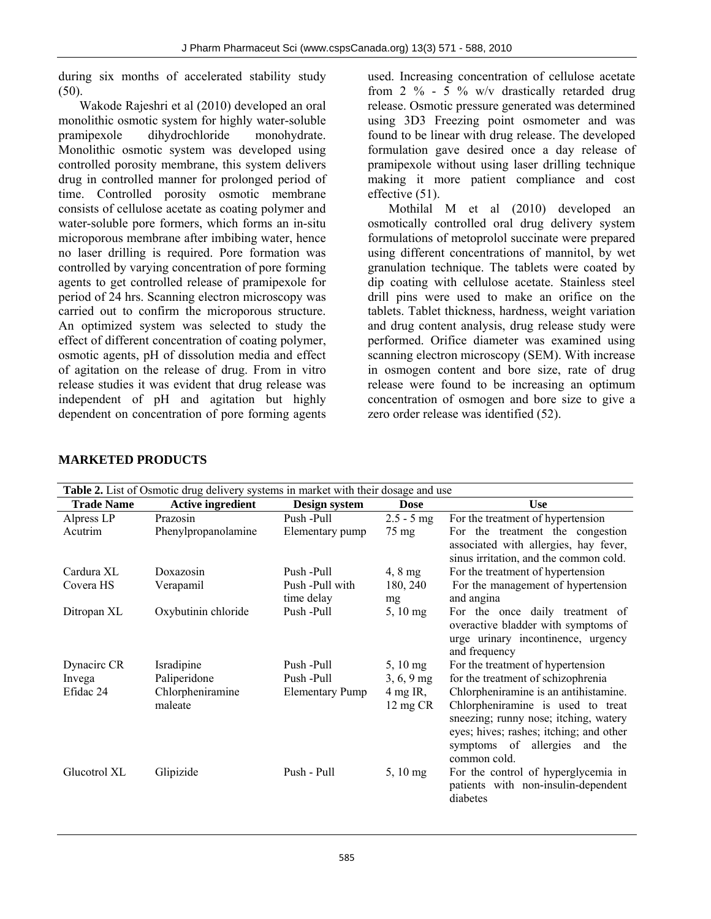during six months of accelerated stability study (50).

Wakode Rajeshri et al (2010) developed an oral monolithic osmotic system for highly water-soluble pramipexole dihydrochloride monohydrate. Monolithic osmotic system was developed using controlled porosity membrane, this system delivers drug in controlled manner for prolonged period of time. Controlled porosity osmotic membrane consists of cellulose acetate as coating polymer and water-soluble pore formers, which forms an in-situ microporous membrane after imbibing water, hence no laser drilling is required. Pore formation was controlled by varying concentration of pore forming agents to get controlled release of pramipexole for period of 24 hrs. Scanning electron microscopy was carried out to confirm the microporous structure. An optimized system was selected to study the effect of different concentration of coating polymer, osmotic agents, pH of dissolution media and effect of agitation on the release of drug. From in vitro release studies it was evident that drug release was independent of pH and agitation but highly dependent on concentration of pore forming agents used. Increasing concentration of cellulose acetate from 2  $\%$  - 5  $\%$  w/v drastically retarded drug release. Osmotic pressure generated was determined using 3D3 Freezing point osmometer and was found to be linear with drug release. The developed formulation gave desired once a day release of pramipexole without using laser drilling technique making it more patient compliance and cost effective (51).

Mothilal M et al (2010) developed an osmotically controlled oral drug delivery system formulations of metoprolol succinate were prepared using different concentrations of mannitol, by wet granulation technique. The tablets were coated by dip coating with cellulose acetate. Stainless steel drill pins were used to make an orifice on the tablets. Tablet thickness, hardness, weight variation and drug content analysis, drug release study were performed. Orifice diameter was examined using scanning electron microscopy (SEM). With increase in osmogen content and bore size, rate of drug release were found to be increasing an optimum concentration of osmogen and bore size to give a zero order release was identified (52).

| Table 2. List of Osmotic drug delivery systems in market with their dosage and use |                             |                               |                        |                                                                                                                                                                                                 |  |  |  |
|------------------------------------------------------------------------------------|-----------------------------|-------------------------------|------------------------|-------------------------------------------------------------------------------------------------------------------------------------------------------------------------------------------------|--|--|--|
| <b>Trade Name</b>                                                                  | <b>Active ingredient</b>    | Design system                 | <b>Dose</b>            | <b>Use</b>                                                                                                                                                                                      |  |  |  |
| Alpress LP                                                                         | Prazosin                    | Push -Pull                    | $2.5 - 5$ mg           | For the treatment of hypertension                                                                                                                                                               |  |  |  |
| Acutrim                                                                            | Phenylpropanolamine         | Elementary pump               | 75 mg                  | For the treatment the congestion<br>associated with allergies, hay fever,<br>sinus irritation, and the common cold.                                                                             |  |  |  |
| Cardura XL                                                                         | Doxazosin                   | Push -Pull                    | $4, 8$ mg              | For the treatment of hypertension                                                                                                                                                               |  |  |  |
| Covera HS                                                                          | Verapamil                   | Push -Pull with<br>time delay | 180, 240<br>mg         | For the management of hypertension<br>and angina                                                                                                                                                |  |  |  |
| Ditropan XL                                                                        | Oxybutinin chloride         | Push -Pull                    | $5, 10$ mg             | For the once daily treatment of<br>overactive bladder with symptoms of<br>urge urinary incontinence, urgency<br>and frequency                                                                   |  |  |  |
| Dynacirc CR                                                                        | Isradipine                  | Push -Pull                    | $5, 10$ mg             | For the treatment of hypertension                                                                                                                                                               |  |  |  |
| Invega                                                                             | Paliperidone                | Push -Pull                    | $3, 6, 9$ mg           | for the treatment of schizophrenia                                                                                                                                                              |  |  |  |
| Efidac 24                                                                          | Chlorpheniramine<br>maleate | <b>Elementary Pump</b>        | $4$ mg IR,<br>12 mg CR | Chlorpheniramine is an antihistamine.<br>Chlorpheniramine is used to treat<br>sneezing; runny nose; itching, watery<br>eyes; hives; rashes; itching; and other<br>symptoms of allergies and the |  |  |  |
| Glucotrol XL                                                                       | Glipizide                   | Push - Pull                   | 5, 10 mg               | common cold.<br>For the control of hyperglycemia in<br>patients with non-insulin-dependent<br>diabetes                                                                                          |  |  |  |

# **MARKETED PRODUCTS**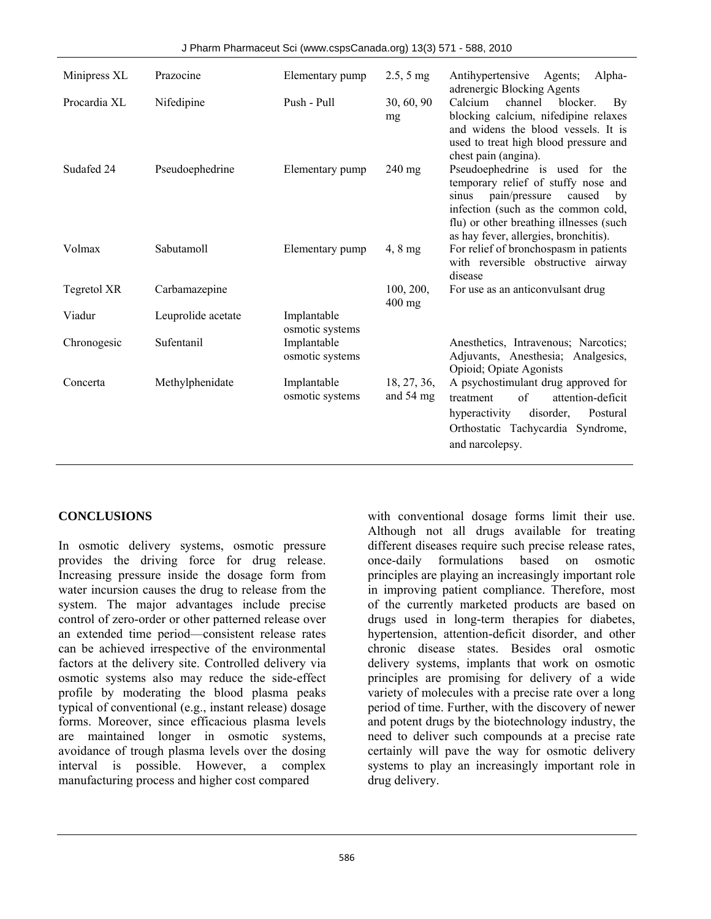| Minipress XL | Prazocine          | Elementary pump                | $2.5, 5$ mg              | Antihypertensive Agents;<br>Alpha-<br>adrenergic Blocking Agents                                                                                                                                                                            |
|--------------|--------------------|--------------------------------|--------------------------|---------------------------------------------------------------------------------------------------------------------------------------------------------------------------------------------------------------------------------------------|
| Procardia XL | Nifedipine         | Push - Pull                    | 30, 60, 90<br>mg         | Calcium<br>channel<br>blocker.<br>By<br>blocking calcium, nifedipine relaxes<br>and widens the blood vessels. It is<br>used to treat high blood pressure and<br>chest pain (angina).                                                        |
| Sudafed 24   | Pseudoephedrine    | Elementary pump                | $240$ mg                 | Pseudoephedrine is used for the<br>temporary relief of stuffy nose and<br>sinus<br>pain/pressure<br>caused<br>by<br>infection (such as the common cold,<br>flu) or other breathing illnesses (such<br>as hay fever, allergies, bronchitis). |
| Volmax       | Sabutamoll         | Elementary pump                | $4, 8$ mg                | For relief of bronchospasm in patients<br>with reversible obstructive airway<br>disease                                                                                                                                                     |
| Tegretol XR  | Carbamazepine      |                                | 100, 200,<br>$400$ mg    | For use as an anticonvulsant drug                                                                                                                                                                                                           |
| Viadur       | Leuprolide acetate | Implantable<br>osmotic systems |                          |                                                                                                                                                                                                                                             |
| Chronogesic  | Sufentanil         | Implantable<br>osmotic systems |                          | Anesthetics, Intravenous; Narcotics;<br>Adjuvants, Anesthesia; Analgesics,<br>Opioid; Opiate Agonists                                                                                                                                       |
| Concerta     | Methylphenidate    | Implantable<br>osmotic systems | 18, 27, 36,<br>and 54 mg | A psychostimulant drug approved for<br>of<br>attention-deficit<br>treatment<br>disorder,<br>hyperactivity<br>Postural<br>Orthostatic Tachycardia Syndrome,<br>and narcolepsy.                                                               |

# **CONCLUSIONS**

In osmotic delivery systems, osmotic pressure provides the driving force for drug release. Increasing pressure inside the dosage form from water incursion causes the drug to release from the system. The major advantages include precise control of zero-order or other patterned release over an extended time period—consistent release rates can be achieved irrespective of the environmental factors at the delivery site. Controlled delivery via osmotic systems also may reduce the side-effect profile by moderating the blood plasma peaks typical of conventional (e.g., instant release) dosage forms. Moreover, since efficacious plasma levels are maintained longer in osmotic systems, avoidance of trough plasma levels over the dosing interval is possible. However, a complex manufacturing process and higher cost compared

with conventional dosage forms limit their use. Although not all drugs available for treating different diseases require such precise release rates, once-daily formulations based on osmotic principles are playing an increasingly important role in improving patient compliance. Therefore, most of the currently marketed products are based on drugs used in long-term therapies for diabetes, hypertension, attention-deficit disorder, and other chronic disease states. Besides oral osmotic delivery systems, implants that work on osmotic principles are promising for delivery of a wide variety of molecules with a precise rate over a long period of time. Further, with the discovery of newer and potent drugs by the biotechnology industry, the need to deliver such compounds at a precise rate certainly will pave the way for osmotic delivery systems to play an increasingly important role in drug delivery.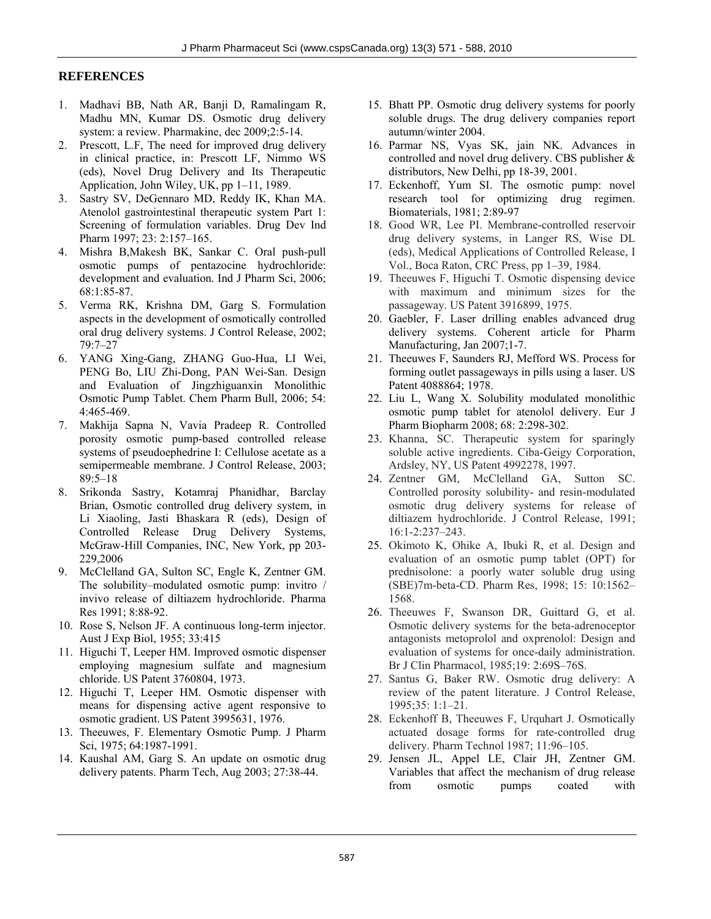#### **REFERENCES**

- 1. Madhavi BB, Nath AR, Banji D, Ramalingam R, Madhu MN, Kumar DS. Osmotic drug delivery system: a review. Pharmakine, dec 2009;2:5-14.
- 2. Prescott, L.F, The need for improved drug delivery in clinical practice, in: Prescott LF, Nimmo WS (eds), Novel Drug Delivery and Its Therapeutic Application, John Wiley, UK, pp 1–11, 1989.
- 3. Sastry SV, DeGennaro MD, Reddy IK, Khan MA. Atenolol gastrointestinal therapeutic system Part 1: Screening of formulation variables. Drug Dev Ind Pharm 1997; 23: 2:157–165.
- 4. Mishra B,Makesh BK, Sankar C. Oral push-pull osmotic pumps of pentazocine hydrochloride: development and evaluation. Ind J Pharm Sci, 2006; 68:1:85-87.
- 5. Verma RK, Krishna DM, Garg S. Formulation aspects in the development of osmotically controlled oral drug delivery systems. J Control Release, 2002; 79:7–27
- 6. YANG Xing-Gang, ZHANG Guo-Hua, LI Wei, PENG Bo, LIU Zhi-Dong, PAN Wei-San. Design and Evaluation of Jingzhiguanxin Monolithic Osmotic Pump Tablet. Chem Pharm Bull, 2006; 54: 4:465-469.
- 7. Makhija Sapna N, Vavia Pradeep R. Controlled porosity osmotic pump-based controlled release systems of pseudoephedrine I: Cellulose acetate as a semipermeable membrane. J Control Release, 2003; 89:5–18
- 8. Srikonda Sastry, Kotamraj Phanidhar, Barclay Brian, Osmotic controlled drug delivery system, in Li Xiaoling, Jasti Bhaskara R (eds), Design of Controlled Release Drug Delivery Systems, McGraw-Hill Companies, INC, New York, pp 203- 229,2006
- 9. McClelland GA, Sulton SC, Engle K, Zentner GM. The solubility–modulated osmotic pump: invitro / invivo release of diltiazem hydrochloride. Pharma Res 1991; 8:88**-**92.
- 10. Rose S, Nelson JF. A continuous long-term injector. Aust J Exp Biol, 1955; 33:415
- 11. Higuchi T, Leeper HM. Improved osmotic dispenser employing magnesium sulfate and magnesium chloride. US Patent 3760804, 1973.
- 12. Higuchi T, Leeper HM. Osmotic dispenser with means for dispensing active agent responsive to osmotic gradient. US Patent 3995631, 1976.
- 13. Theeuwes, F. Elementary Osmotic Pump. J Pharm Sci, 1975; 64:1987-1991.
- 14. Kaushal AM, Garg S. An update on osmotic drug delivery patents. Pharm Tech, Aug 2003; 27:38-44.
- 15. Bhatt PP. Osmotic drug delivery systems for poorly soluble drugs. The drug delivery companies report autumn/winter 2004.
- 16. Parmar NS, Vyas SK, jain NK. Advances in controlled and novel drug delivery. CBS publisher & distributors, New Delhi, pp 18-39, 2001.
- 17. Eckenhoff, Yum SI. The osmotic pump: novel research tool for optimizing drug regimen. Biomaterials, 1981; 2:89-97
- 18. Good WR, Lee PI. Membrane-controlled reservoir drug delivery systems, in Langer RS, Wise DL (eds), Medical Applications of Controlled Release, I Vol., Boca Raton, CRC Press, pp 1–39, 1984.
- 19. Theeuwes F, Higuchi T. Osmotic dispensing device with maximum and minimum sizes for the passageway. US Patent 3916899, 1975.
- 20. Gaebler, F. Laser drilling enables advanced drug delivery systems. Coherent article for Pharm Manufacturing, Jan 2007;1-7.
- 21. Theeuwes F, Saunders RJ, Mefford WS. Process for forming outlet passageways in pills using a laser. US Patent 4088864; 1978.
- 22. Liu L, Wang X. Solubility modulated monolithic osmotic pump tablet for atenolol delivery. Eur J Pharm Biopharm 2008; 68: 2:298-302.
- 23. Khanna, SC. Therapeutic system for sparingly soluble active ingredients. Ciba-Geigy Corporation, Ardsley, NY, US Patent 4992278, 1997.
- 24. Zentner GM, McClelland GA, Sutton SC. Controlled porosity solubility- and resin-modulated osmotic drug delivery systems for release of diltiazem hydrochloride. J Control Release, 1991; 16:1-2:237–243.
- 25. Okimoto K, Ohike A, Ibuki R, et al. Design and evaluation of an osmotic pump tablet (OPT) for prednisolone: a poorly water soluble drug using (SBE)7m-beta-CD. Pharm Res, 1998; 15: 10:1562– 1568.
- 26. Theeuwes F, Swanson DR, Guittard G, et al. Osmotic delivery systems for the beta-adrenoceptor antagonists metoprolol and oxprenolol: Design and evaluation of systems for once-daily administration. Br J Clin Pharmacol, 1985;19: 2:69S–76S.
- 27. Santus G, Baker RW. Osmotic drug delivery: A review of the patent literature. J Control Release, 1995;35: 1:1–21.
- 28. Eckenhoff B, Theeuwes F, Urquhart J. Osmotically actuated dosage forms for rate-controlled drug delivery. Pharm Technol 1987; 11:96–105.
- 29. Jensen JL, Appel LE, Clair JH, Zentner GM. Variables that affect the mechanism of drug release from osmotic pumps coated with